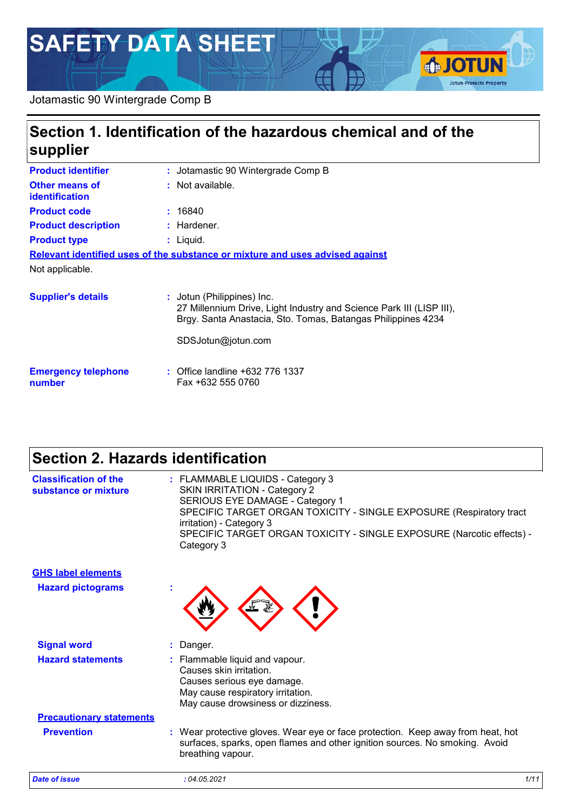# **SAFETY DATA SHEET**



### **Section 1. Identification of the hazardous chemical and of the supplier**

**IOTUN** 

**Jotun Protects Property** 

| <b>Product identifier</b>                      | : Jotamastic 90 Wintergrade Comp B                                                                                                                                 |
|------------------------------------------------|--------------------------------------------------------------------------------------------------------------------------------------------------------------------|
| <b>Other means of</b><br><b>identification</b> | : Not available.                                                                                                                                                   |
| <b>Product code</b>                            | : 16840                                                                                                                                                            |
| <b>Product description</b>                     | $:$ Hardener.                                                                                                                                                      |
| <b>Product type</b>                            | $:$ Liquid.                                                                                                                                                        |
|                                                | Relevant identified uses of the substance or mixture and uses advised against                                                                                      |
| Not applicable.                                |                                                                                                                                                                    |
| <b>Supplier's details</b>                      | : Jotun (Philippines) Inc.<br>27 Millennium Drive, Light Industry and Science Park III (LISP III),<br>Brgy. Santa Anastacia, Sto. Tomas, Batangas Philippines 4234 |
|                                                | SDSJotun@jotun.com                                                                                                                                                 |
| <b>Emergency telephone</b>                     | : Office landline +632 776 1337                                                                                                                                    |

**number**

**:** Office landline +632 776 1337 Fax +632 555 0760

### **Section 2. Hazards identification**

| <b>Classification of the</b><br>substance or mixture | : FLAMMABLE LIQUIDS - Category 3<br><b>SKIN IRRITATION - Category 2</b><br>SERIOUS EYE DAMAGE - Category 1<br>SPECIFIC TARGET ORGAN TOXICITY - SINGLE EXPOSURE (Respiratory tract<br>irritation) - Category 3<br>SPECIFIC TARGET ORGAN TOXICITY - SINGLE EXPOSURE (Narcotic effects) -<br>Category 3 |      |
|------------------------------------------------------|------------------------------------------------------------------------------------------------------------------------------------------------------------------------------------------------------------------------------------------------------------------------------------------------------|------|
| <b>GHS label elements</b>                            |                                                                                                                                                                                                                                                                                                      |      |
| <b>Hazard pictograms</b>                             |                                                                                                                                                                                                                                                                                                      |      |
| <b>Signal word</b>                                   | Danger.                                                                                                                                                                                                                                                                                              |      |
| <b>Hazard statements</b>                             | : Flammable liquid and vapour.<br>Causes skin irritation.<br>Causes serious eye damage.<br>May cause respiratory irritation.<br>May cause drowsiness or dizziness.                                                                                                                                   |      |
| <b>Precautionary statements</b>                      |                                                                                                                                                                                                                                                                                                      |      |
| <b>Prevention</b>                                    | : Wear protective gloves. Wear eye or face protection. Keep away from heat, hot<br>surfaces, sparks, open flames and other ignition sources. No smoking. Avoid<br>breathing vapour.                                                                                                                  |      |
| <b>Date of issue</b>                                 | :04.05.2021                                                                                                                                                                                                                                                                                          | 1/11 |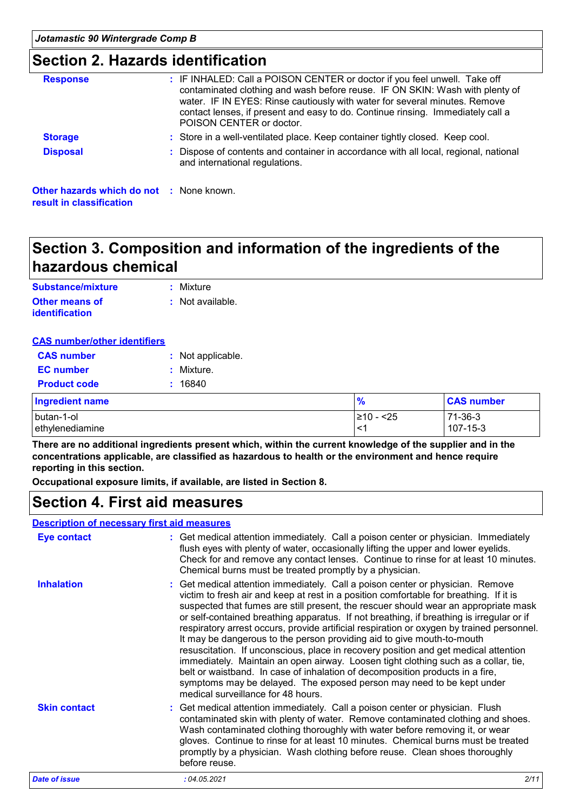### **Section 2. Hazards identification**

| <b>Response</b>                                                             | : IF INHALED: Call a POISON CENTER or doctor if you feel unwell. Take off<br>contaminated clothing and wash before reuse. IF ON SKIN: Wash with plenty of<br>water. IF IN EYES: Rinse cautiously with water for several minutes. Remove<br>contact lenses, if present and easy to do. Continue rinsing. Immediately call a<br>POISON CENTER or doctor. |
|-----------------------------------------------------------------------------|--------------------------------------------------------------------------------------------------------------------------------------------------------------------------------------------------------------------------------------------------------------------------------------------------------------------------------------------------------|
| <b>Storage</b>                                                              | : Store in a well-ventilated place. Keep container tightly closed. Keep cool.                                                                                                                                                                                                                                                                          |
| <b>Disposal</b>                                                             | Dispose of contents and container in accordance with all local, regional, national<br>and international regulations.                                                                                                                                                                                                                                   |
| <b>Other hazards which do not : None known.</b><br>result in classification |                                                                                                                                                                                                                                                                                                                                                        |

### **Section 3. Composition and information of the ingredients of the hazardous chemical**

| Substance/mixture     | : Mixture        |
|-----------------------|------------------|
| Other means of        | : Not available. |
| <i>identification</i> |                  |

### **CAS number/other identifiers**

| <b>CAS</b> number   | : Not applicable. |
|---------------------|-------------------|
| <b>EC</b> number    | : Mixture.        |
| <b>Product code</b> | : 16840           |

| <b>Ingredient name</b> | $\frac{9}{6}$ | <b>CAS number</b> |
|------------------------|---------------|-------------------|
| I butan-1-ol           | 1≥10 - <25    | 71-36-3           |
| I ethvlenediamine      | . <-          | 107-15-3          |

**There are no additional ingredients present which, within the current knowledge of the supplier and in the concentrations applicable, are classified as hazardous to health or the environment and hence require reporting in this section.**

**Occupational exposure limits, if available, are listed in Section 8.**

### **Section 4. First aid measures**

#### **Description of necessary first aid measures**

| <b>Eye contact</b>   | : Get medical attention immediately. Call a poison center or physician. Immediately<br>flush eyes with plenty of water, occasionally lifting the upper and lower eyelids.<br>Check for and remove any contact lenses. Continue to rinse for at least 10 minutes.<br>Chemical burns must be treated promptly by a physician.                                                                                                                                                                                                                                                                                                                                                                                                                                                                                                                                                                                     |      |
|----------------------|-----------------------------------------------------------------------------------------------------------------------------------------------------------------------------------------------------------------------------------------------------------------------------------------------------------------------------------------------------------------------------------------------------------------------------------------------------------------------------------------------------------------------------------------------------------------------------------------------------------------------------------------------------------------------------------------------------------------------------------------------------------------------------------------------------------------------------------------------------------------------------------------------------------------|------|
| <b>Inhalation</b>    | : Get medical attention immediately. Call a poison center or physician. Remove<br>victim to fresh air and keep at rest in a position comfortable for breathing. If it is<br>suspected that fumes are still present, the rescuer should wear an appropriate mask<br>or self-contained breathing apparatus. If not breathing, if breathing is irregular or if<br>respiratory arrest occurs, provide artificial respiration or oxygen by trained personnel.<br>It may be dangerous to the person providing aid to give mouth-to-mouth<br>resuscitation. If unconscious, place in recovery position and get medical attention<br>immediately. Maintain an open airway. Loosen tight clothing such as a collar, tie,<br>belt or waistband. In case of inhalation of decomposition products in a fire,<br>symptoms may be delayed. The exposed person may need to be kept under<br>medical surveillance for 48 hours. |      |
| <b>Skin contact</b>  | : Get medical attention immediately. Call a poison center or physician. Flush<br>contaminated skin with plenty of water. Remove contaminated clothing and shoes.<br>Wash contaminated clothing thoroughly with water before removing it, or wear<br>gloves. Continue to rinse for at least 10 minutes. Chemical burns must be treated<br>promptly by a physician. Wash clothing before reuse. Clean shoes thoroughly<br>before reuse.                                                                                                                                                                                                                                                                                                                                                                                                                                                                           |      |
| <b>Date of issue</b> | :04.05.2021                                                                                                                                                                                                                                                                                                                                                                                                                                                                                                                                                                                                                                                                                                                                                                                                                                                                                                     | 2/11 |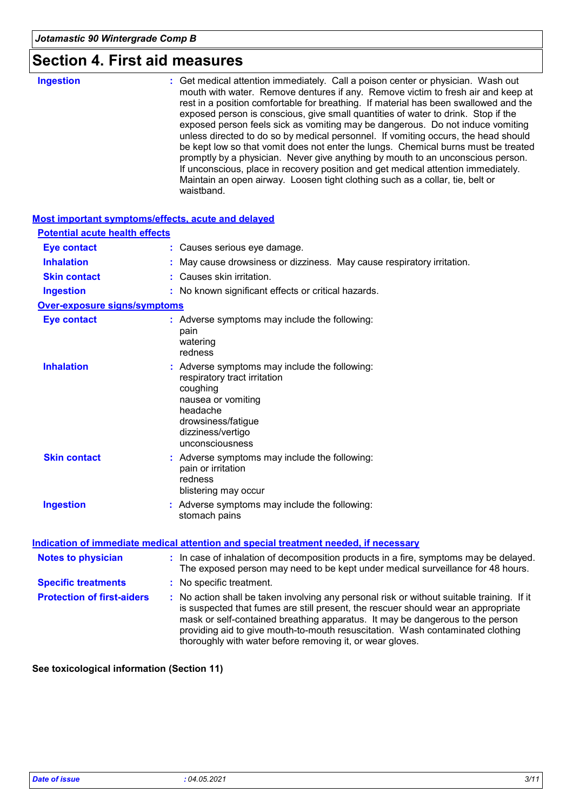### **Section 4. First aid measures**

| <b>Ingestion</b> | : Get medical attention immediately. Call a poison center or physician. Wash out<br>mouth with water. Remove dentures if any. Remove victim to fresh air and keep at<br>rest in a position comfortable for breathing. If material has been swallowed and the<br>exposed person is conscious, give small quantities of water to drink. Stop if the<br>exposed person feels sick as vomiting may be dangerous. Do not induce vomiting<br>unless directed to do so by medical personnel. If vomiting occurs, the head should<br>be kept low so that vomit does not enter the lungs. Chemical burns must be treated<br>promptly by a physician. Never give anything by mouth to an unconscious person.<br>If unconscious, place in recovery position and get medical attention immediately.<br>Maintain an open airway. Loosen tight clothing such as a collar, tie, belt or<br>waistband. |
|------------------|----------------------------------------------------------------------------------------------------------------------------------------------------------------------------------------------------------------------------------------------------------------------------------------------------------------------------------------------------------------------------------------------------------------------------------------------------------------------------------------------------------------------------------------------------------------------------------------------------------------------------------------------------------------------------------------------------------------------------------------------------------------------------------------------------------------------------------------------------------------------------------------|
|------------------|----------------------------------------------------------------------------------------------------------------------------------------------------------------------------------------------------------------------------------------------------------------------------------------------------------------------------------------------------------------------------------------------------------------------------------------------------------------------------------------------------------------------------------------------------------------------------------------------------------------------------------------------------------------------------------------------------------------------------------------------------------------------------------------------------------------------------------------------------------------------------------------|

#### **Most important symptoms/effects, acute and delayed**

| <b>Potential acute health effects</b> |                                                                                                                                                                                                                                                                                                                                                                                                                 |
|---------------------------------------|-----------------------------------------------------------------------------------------------------------------------------------------------------------------------------------------------------------------------------------------------------------------------------------------------------------------------------------------------------------------------------------------------------------------|
| <b>Eye contact</b>                    | : Causes serious eye damage.                                                                                                                                                                                                                                                                                                                                                                                    |
| <b>Inhalation</b>                     | May cause drowsiness or dizziness. May cause respiratory irritation.                                                                                                                                                                                                                                                                                                                                            |
| <b>Skin contact</b>                   | : Causes skin irritation.                                                                                                                                                                                                                                                                                                                                                                                       |
| <b>Ingestion</b>                      | : No known significant effects or critical hazards.                                                                                                                                                                                                                                                                                                                                                             |
| <b>Over-exposure signs/symptoms</b>   |                                                                                                                                                                                                                                                                                                                                                                                                                 |
| <b>Eye contact</b>                    | : Adverse symptoms may include the following:<br>pain<br>watering<br>redness                                                                                                                                                                                                                                                                                                                                    |
| <b>Inhalation</b>                     | : Adverse symptoms may include the following:<br>respiratory tract irritation<br>coughing<br>nausea or vomiting<br>headache<br>drowsiness/fatigue<br>dizziness/vertigo<br>unconsciousness                                                                                                                                                                                                                       |
| <b>Skin contact</b>                   | : Adverse symptoms may include the following:<br>pain or irritation<br>redness<br>blistering may occur                                                                                                                                                                                                                                                                                                          |
| <b>Ingestion</b>                      | : Adverse symptoms may include the following:<br>stomach pains                                                                                                                                                                                                                                                                                                                                                  |
|                                       | Indication of immediate medical attention and special treatment needed, if necessary                                                                                                                                                                                                                                                                                                                            |
| <b>Notes to physician</b>             | : In case of inhalation of decomposition products in a fire, symptoms may be delayed.<br>The exposed person may need to be kept under medical surveillance for 48 hours.                                                                                                                                                                                                                                        |
| <b>Specific treatments</b>            | : No specific treatment.                                                                                                                                                                                                                                                                                                                                                                                        |
| <b>Protection of first-aiders</b>     | : No action shall be taken involving any personal risk or without suitable training. If it<br>is suspected that fumes are still present, the rescuer should wear an appropriate<br>mask or self-contained breathing apparatus. It may be dangerous to the person<br>providing aid to give mouth-to-mouth resuscitation. Wash contaminated clothing<br>thoroughly with water before removing it, or wear gloves. |

**See toxicological information (Section 11)**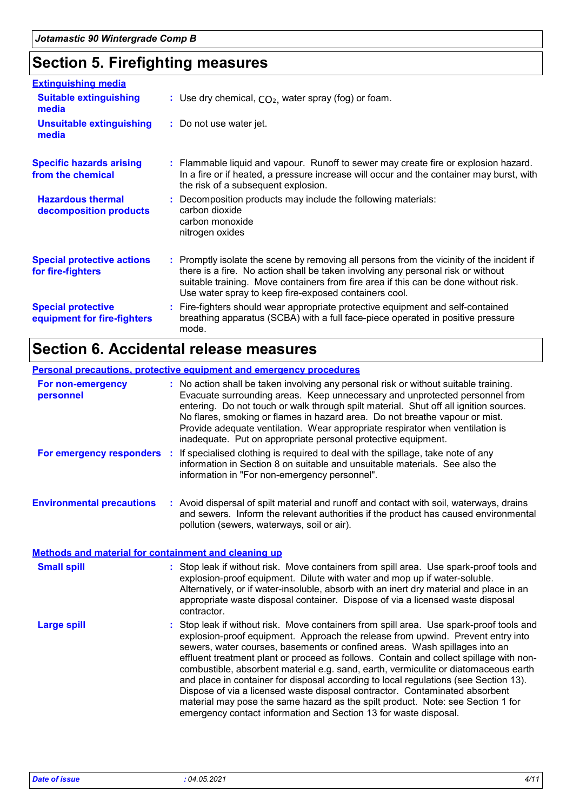## **Section 5. Firefighting measures**

| <b>Extinguishing media</b>                               |                                                                                                                                                                                                                                                                                                                               |
|----------------------------------------------------------|-------------------------------------------------------------------------------------------------------------------------------------------------------------------------------------------------------------------------------------------------------------------------------------------------------------------------------|
| <b>Suitable extinguishing</b><br>media                   | : Use dry chemical, $CO2$ , water spray (fog) or foam.                                                                                                                                                                                                                                                                        |
| <b>Unsuitable extinguishing</b><br>media                 | : Do not use water jet.                                                                                                                                                                                                                                                                                                       |
| <b>Specific hazards arising</b><br>from the chemical     | : Flammable liquid and vapour. Runoff to sewer may create fire or explosion hazard.<br>In a fire or if heated, a pressure increase will occur and the container may burst, with<br>the risk of a subsequent explosion.                                                                                                        |
| <b>Hazardous thermal</b><br>decomposition products       | : Decomposition products may include the following materials:<br>carbon dioxide<br>carbon monoxide<br>nitrogen oxides                                                                                                                                                                                                         |
| <b>Special protective actions</b><br>for fire-fighters   | : Promptly isolate the scene by removing all persons from the vicinity of the incident if<br>there is a fire. No action shall be taken involving any personal risk or without<br>suitable training. Move containers from fire area if this can be done without risk.<br>Use water spray to keep fire-exposed containers cool. |
| <b>Special protective</b><br>equipment for fire-fighters | : Fire-fighters should wear appropriate protective equipment and self-contained<br>breathing apparatus (SCBA) with a full face-piece operated in positive pressure<br>mode.                                                                                                                                                   |

### **Section 6. Accidental release measures**

|                                                             | <b>Personal precautions, protective equipment and emergency procedures</b>                                                                                                                                                                                                                                                                                                                                                                                                                                                                                                                                                                                                                                                                                              |
|-------------------------------------------------------------|-------------------------------------------------------------------------------------------------------------------------------------------------------------------------------------------------------------------------------------------------------------------------------------------------------------------------------------------------------------------------------------------------------------------------------------------------------------------------------------------------------------------------------------------------------------------------------------------------------------------------------------------------------------------------------------------------------------------------------------------------------------------------|
| For non-emergency<br>personnel                              | : No action shall be taken involving any personal risk or without suitable training.<br>Evacuate surrounding areas. Keep unnecessary and unprotected personnel from<br>entering. Do not touch or walk through spilt material. Shut off all ignition sources.<br>No flares, smoking or flames in hazard area. Do not breathe vapour or mist.<br>Provide adequate ventilation. Wear appropriate respirator when ventilation is<br>inadequate. Put on appropriate personal protective equipment.                                                                                                                                                                                                                                                                           |
| For emergency responders :                                  | If specialised clothing is required to deal with the spillage, take note of any<br>information in Section 8 on suitable and unsuitable materials. See also the<br>information in "For non-emergency personnel".                                                                                                                                                                                                                                                                                                                                                                                                                                                                                                                                                         |
| <b>Environmental precautions</b>                            | : Avoid dispersal of spilt material and runoff and contact with soil, waterways, drains<br>and sewers. Inform the relevant authorities if the product has caused environmental<br>pollution (sewers, waterways, soil or air).                                                                                                                                                                                                                                                                                                                                                                                                                                                                                                                                           |
| <b>Methods and material for containment and cleaning up</b> |                                                                                                                                                                                                                                                                                                                                                                                                                                                                                                                                                                                                                                                                                                                                                                         |
| <b>Small spill</b>                                          | : Stop leak if without risk. Move containers from spill area. Use spark-proof tools and<br>explosion-proof equipment. Dilute with water and mop up if water-soluble.<br>Alternatively, or if water-insoluble, absorb with an inert dry material and place in an<br>appropriate waste disposal container. Dispose of via a licensed waste disposal<br>contractor.                                                                                                                                                                                                                                                                                                                                                                                                        |
| <b>Large spill</b>                                          | : Stop leak if without risk. Move containers from spill area. Use spark-proof tools and<br>explosion-proof equipment. Approach the release from upwind. Prevent entry into<br>sewers, water courses, basements or confined areas. Wash spillages into an<br>effluent treatment plant or proceed as follows. Contain and collect spillage with non-<br>combustible, absorbent material e.g. sand, earth, vermiculite or diatomaceous earth<br>and place in container for disposal according to local regulations (see Section 13).<br>Dispose of via a licensed waste disposal contractor. Contaminated absorbent<br>material may pose the same hazard as the spilt product. Note: see Section 1 for<br>emergency contact information and Section 13 for waste disposal. |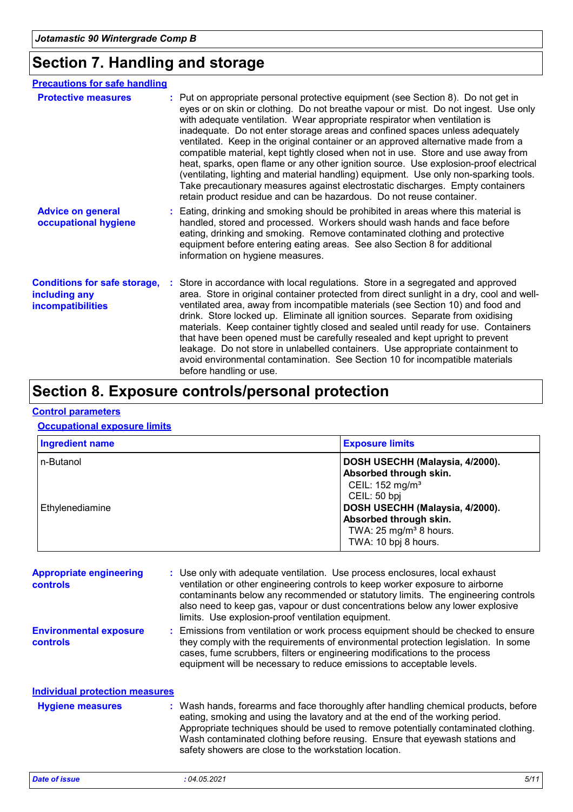### **Section 7. Handling and storage**

| <b>Precautions for safe handling</b>                                      |                                                                                                                                                                                                                                                                                                                                                                                                                                                                                                                                                                                                                                                                                                                                                                                                                                                              |
|---------------------------------------------------------------------------|--------------------------------------------------------------------------------------------------------------------------------------------------------------------------------------------------------------------------------------------------------------------------------------------------------------------------------------------------------------------------------------------------------------------------------------------------------------------------------------------------------------------------------------------------------------------------------------------------------------------------------------------------------------------------------------------------------------------------------------------------------------------------------------------------------------------------------------------------------------|
| <b>Protective measures</b>                                                | : Put on appropriate personal protective equipment (see Section 8). Do not get in<br>eyes or on skin or clothing. Do not breathe vapour or mist. Do not ingest. Use only<br>with adequate ventilation. Wear appropriate respirator when ventilation is<br>inadequate. Do not enter storage areas and confined spaces unless adequately<br>ventilated. Keep in the original container or an approved alternative made from a<br>compatible material, kept tightly closed when not in use. Store and use away from<br>heat, sparks, open flame or any other ignition source. Use explosion-proof electrical<br>(ventilating, lighting and material handling) equipment. Use only non-sparking tools.<br>Take precautionary measures against electrostatic discharges. Empty containers<br>retain product residue and can be hazardous. Do not reuse container. |
| <b>Advice on general</b><br>occupational hygiene                          | : Eating, drinking and smoking should be prohibited in areas where this material is<br>handled, stored and processed. Workers should wash hands and face before<br>eating, drinking and smoking. Remove contaminated clothing and protective<br>equipment before entering eating areas. See also Section 8 for additional<br>information on hygiene measures.                                                                                                                                                                                                                                                                                                                                                                                                                                                                                                |
| <b>Conditions for safe storage,</b><br>including any<br>incompatibilities | Store in accordance with local regulations. Store in a segregated and approved<br>area. Store in original container protected from direct sunlight in a dry, cool and well-<br>ventilated area, away from incompatible materials (see Section 10) and food and<br>drink. Store locked up. Eliminate all ignition sources. Separate from oxidising<br>materials. Keep container tightly closed and sealed until ready for use. Containers<br>that have been opened must be carefully resealed and kept upright to prevent<br>leakage. Do not store in unlabelled containers. Use appropriate containment to<br>avoid environmental contamination. See Section 10 for incompatible materials<br>before handling or use.                                                                                                                                        |

### **Section 8. Exposure controls/personal protection**

#### **Control parameters**

#### **Occupational exposure limits**

| <b>Ingredient name</b> | <b>Exposure limits</b>                                                                                                  |
|------------------------|-------------------------------------------------------------------------------------------------------------------------|
| n-Butanol              | DOSH USECHH (Malaysia, 4/2000).<br>Absorbed through skin.<br>CEIL: 152 mg/m <sup>3</sup><br>CEIL: 50 bpj                |
| Ethylenediamine        | DOSH USECHH (Malaysia, 4/2000).<br>Absorbed through skin.<br>TWA: 25 mg/m <sup>3</sup> 8 hours.<br>TWA: 10 bpj 8 hours. |

| <b>Appropriate engineering</b><br><b>controls</b> | : Use only with adequate ventilation. Use process enclosures, local exhaust<br>ventilation or other engineering controls to keep worker exposure to airborne<br>contaminants below any recommended or statutory limits. The engineering controls<br>also need to keep gas, vapour or dust concentrations below any lower explosive<br>limits. Use explosion-proof ventilation equipment.          |
|---------------------------------------------------|---------------------------------------------------------------------------------------------------------------------------------------------------------------------------------------------------------------------------------------------------------------------------------------------------------------------------------------------------------------------------------------------------|
| <b>Environmental exposure</b><br><b>controls</b>  | : Emissions from ventilation or work process equipment should be checked to ensure<br>they comply with the requirements of environmental protection legislation. In some<br>cases, fume scrubbers, filters or engineering modifications to the process<br>equipment will be necessary to reduce emissions to acceptable levels.                                                                   |
| <b>Individual protection measures</b>             |                                                                                                                                                                                                                                                                                                                                                                                                   |
| <b>Hygiene measures</b>                           | : Wash hands, forearms and face thoroughly after handling chemical products, before<br>eating, smoking and using the lavatory and at the end of the working period.<br>Appropriate techniques should be used to remove potentially contaminated clothing.<br>Wash contaminated clothing before reusing. Ensure that eyewash stations and<br>safety showers are close to the workstation location. |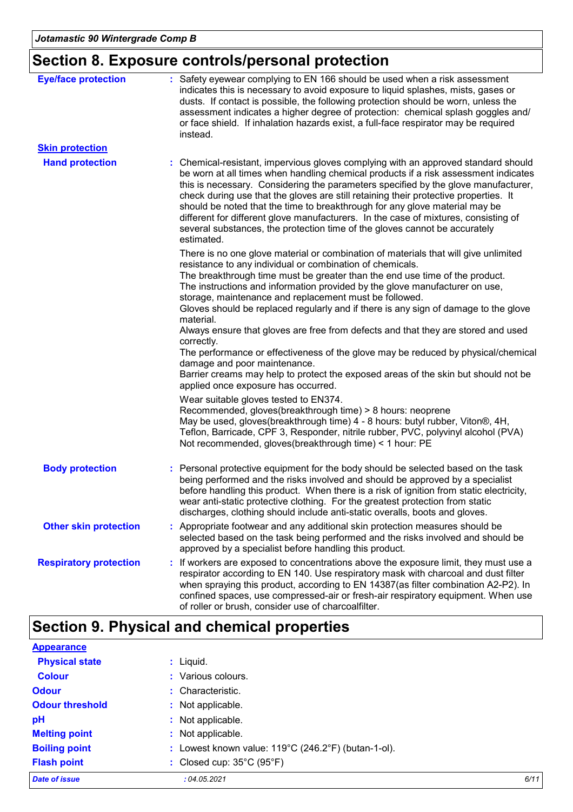## **Section 8. Exposure controls/personal protection**

| <b>Eye/face protection</b>    | : Safety eyewear complying to EN 166 should be used when a risk assessment<br>indicates this is necessary to avoid exposure to liquid splashes, mists, gases or<br>dusts. If contact is possible, the following protection should be worn, unless the<br>assessment indicates a higher degree of protection: chemical splash goggles and/<br>or face shield. If inhalation hazards exist, a full-face respirator may be required<br>instead.                                                                                                                                                                              |
|-------------------------------|---------------------------------------------------------------------------------------------------------------------------------------------------------------------------------------------------------------------------------------------------------------------------------------------------------------------------------------------------------------------------------------------------------------------------------------------------------------------------------------------------------------------------------------------------------------------------------------------------------------------------|
| <b>Skin protection</b>        |                                                                                                                                                                                                                                                                                                                                                                                                                                                                                                                                                                                                                           |
| <b>Hand protection</b>        | : Chemical-resistant, impervious gloves complying with an approved standard should<br>be worn at all times when handling chemical products if a risk assessment indicates<br>this is necessary. Considering the parameters specified by the glove manufacturer,<br>check during use that the gloves are still retaining their protective properties. It<br>should be noted that the time to breakthrough for any glove material may be<br>different for different glove manufacturers. In the case of mixtures, consisting of<br>several substances, the protection time of the gloves cannot be accurately<br>estimated. |
|                               | There is no one glove material or combination of materials that will give unlimited<br>resistance to any individual or combination of chemicals.<br>The breakthrough time must be greater than the end use time of the product.<br>The instructions and information provided by the glove manufacturer on use,                                                                                                                                                                                                                                                                                                            |
|                               | storage, maintenance and replacement must be followed.<br>Gloves should be replaced regularly and if there is any sign of damage to the glove<br>material.                                                                                                                                                                                                                                                                                                                                                                                                                                                                |
|                               | Always ensure that gloves are free from defects and that they are stored and used<br>correctly.                                                                                                                                                                                                                                                                                                                                                                                                                                                                                                                           |
|                               | The performance or effectiveness of the glove may be reduced by physical/chemical<br>damage and poor maintenance.<br>Barrier creams may help to protect the exposed areas of the skin but should not be<br>applied once exposure has occurred.                                                                                                                                                                                                                                                                                                                                                                            |
|                               | Wear suitable gloves tested to EN374.<br>Recommended, gloves(breakthrough time) > 8 hours: neoprene<br>May be used, gloves(breakthrough time) 4 - 8 hours: butyl rubber, Viton®, 4H,<br>Teflon, Barricade, CPF 3, Responder, nitrile rubber, PVC, polyvinyl alcohol (PVA)<br>Not recommended, gloves(breakthrough time) < 1 hour: PE                                                                                                                                                                                                                                                                                      |
| <b>Body protection</b>        | : Personal protective equipment for the body should be selected based on the task<br>being performed and the risks involved and should be approved by a specialist<br>before handling this product. When there is a risk of ignition from static electricity,<br>wear anti-static protective clothing. For the greatest protection from static<br>discharges, clothing should include anti-static overalls, boots and gloves.                                                                                                                                                                                             |
| <b>Other skin protection</b>  | : Appropriate footwear and any additional skin protection measures should be<br>selected based on the task being performed and the risks involved and should be<br>approved by a specialist before handling this product.                                                                                                                                                                                                                                                                                                                                                                                                 |
| <b>Respiratory protection</b> | If workers are exposed to concentrations above the exposure limit, they must use a<br>t<br>respirator according to EN 140. Use respiratory mask with charcoal and dust filter<br>when spraying this product, according to EN 14387(as filter combination A2-P2). In<br>confined spaces, use compressed-air or fresh-air respiratory equipment. When use<br>of roller or brush, consider use of charcoalfilter.                                                                                                                                                                                                            |

### **Section 9. Physical and chemical properties**

| <b>Appearance</b>      |                                                                          |      |
|------------------------|--------------------------------------------------------------------------|------|
| <b>Physical state</b>  | $:$ Liquid.                                                              |      |
| <b>Colour</b>          | : Various colours.                                                       |      |
| <b>Odour</b>           | : Characteristic.                                                        |      |
| <b>Odour threshold</b> | : Not applicable.                                                        |      |
| pH                     | : Not applicable.                                                        |      |
| <b>Melting point</b>   | : Not applicable.                                                        |      |
| <b>Boiling point</b>   | : Lowest known value: $119^{\circ}$ C (246.2 $^{\circ}$ F) (butan-1-ol). |      |
| <b>Flash point</b>     | : Closed cup: $35^{\circ}$ C (95 $^{\circ}$ F)                           |      |
| <b>Date of issue</b>   | :04.05.2021                                                              | 6/11 |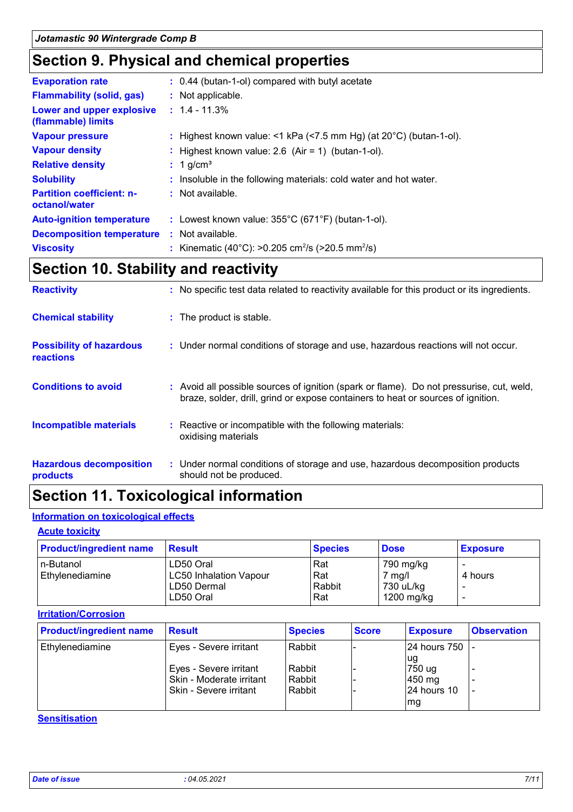### **Section 9. Physical and chemical properties**

| <b>Evaporation rate</b>                           | : 0.44 (butan-1-ol) compared with butyl acetate                              |
|---------------------------------------------------|------------------------------------------------------------------------------|
| <b>Flammability (solid, gas)</b>                  | : Not applicable.                                                            |
| Lower and upper explosive<br>(flammable) limits   | $: 1.4 - 11.3\%$                                                             |
| <b>Vapour pressure</b>                            | : Highest known value: <1 kPa (<7.5 mm Hg) (at $20^{\circ}$ C) (butan-1-ol). |
| <b>Vapour density</b>                             | : Highest known value: $2.6$ (Air = 1) (butan-1-ol).                         |
| <b>Relative density</b>                           | $: 1$ g/cm <sup>3</sup>                                                      |
| <b>Solubility</b>                                 | : Insoluble in the following materials: cold water and hot water.            |
| <b>Partition coefficient: n-</b><br>octanol/water | $:$ Not available.                                                           |
| <b>Auto-ignition temperature</b>                  | : Lowest known value: $355^{\circ}$ C (671°F) (butan-1-ol).                  |
| <b>Decomposition temperature</b>                  | $\therefore$ Not available.                                                  |
| <b>Viscosity</b>                                  | : Kinematic (40°C): >0.205 cm <sup>2</sup> /s (>20.5 mm <sup>2</sup> /s)     |

### **Section 10. Stability and reactivity**

| <b>Reactivity</b>                            | : No specific test data related to reactivity available for this product or its ingredients.                                                                                 |
|----------------------------------------------|------------------------------------------------------------------------------------------------------------------------------------------------------------------------------|
| <b>Chemical stability</b>                    | : The product is stable.                                                                                                                                                     |
| <b>Possibility of hazardous</b><br>reactions | : Under normal conditions of storage and use, hazardous reactions will not occur.                                                                                            |
| <b>Conditions to avoid</b>                   | : Avoid all possible sources of ignition (spark or flame). Do not pressurise, cut, weld,<br>braze, solder, drill, grind or expose containers to heat or sources of ignition. |
| <b>Incompatible materials</b>                | : Reactive or incompatible with the following materials:<br>oxidising materials                                                                                              |
| <b>Hazardous decomposition</b><br>products   | : Under normal conditions of storage and use, hazardous decomposition products<br>should not be produced.                                                                    |

### **Section 11. Toxicological information**

#### **Information on toxicological effects**

#### **Acute toxicity**

| <b>Product/ingredient name</b> | <b>Result</b>                 | <b>Species</b> | <b>Dose</b> | <b>Exposure</b> |
|--------------------------------|-------------------------------|----------------|-------------|-----------------|
| In-Butanol                     | LD50 Oral                     | Rat            | 790 mg/kg   |                 |
| Ethylenediamine                | <b>LC50 Inhalation Vapour</b> | Rat            | 7 mg/l      | 4 hours         |
|                                | LD50 Dermal                   | Rabbit         | 730 uL/kg   |                 |
|                                | LD50 Oral                     | Rat            | 1200 mg/kg  |                 |

#### **Irritation/Corrosion**

| <b>Product/ingredient name</b> | <b>Result</b>                                                                | <b>Species</b>             | <b>Score</b> | <b>Exposure</b>                              | <b>Observation</b> |
|--------------------------------|------------------------------------------------------------------------------|----------------------------|--------------|----------------------------------------------|--------------------|
| Ethylenediamine                | Eyes - Severe irritant                                                       | Rabbit                     |              | 24 hours 750 -                               |                    |
|                                | Eyes - Severe irritant<br>Skin - Moderate irritant<br>Skin - Severe irritant | Rabbit<br>Rabbit<br>Rabbit |              | lug<br>750 ug<br>450 mg<br>24 hours 10<br>mg |                    |

#### **Sensitisation**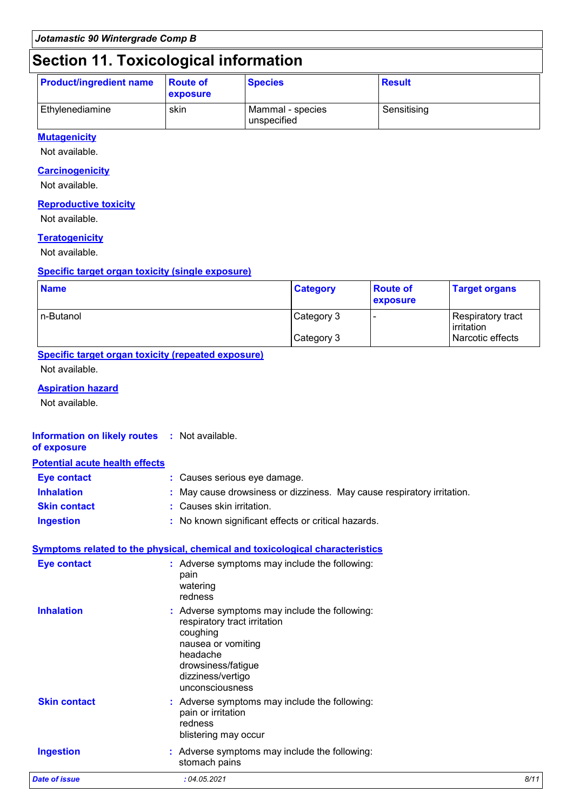### **Section 11. Toxicological information**

| <b>Product/ingredient name</b> | <b>Route of</b><br><b>exposure</b> | <b>Species</b>                  | <b>Result</b> |
|--------------------------------|------------------------------------|---------------------------------|---------------|
| Ethylenediamine                | skin                               | Mammal - species<br>unspecified | Sensitising   |

#### **Mutagenicity**

Not available.

#### **Carcinogenicity**

Not available.

#### **Reproductive toxicity**

Not available.

#### **Teratogenicity**

Not available.

#### **Specific target organ toxicity (single exposure)**

| <b>Name</b> | <b>Category</b> | <b>Route of</b><br><b>exposure</b> | <b>Target organs</b>                   |
|-------------|-----------------|------------------------------------|----------------------------------------|
| In-Butanol  | Category 3      |                                    | <b>Respiratory tract</b><br>irritation |
|             | Category 3      |                                    | Narcotic effects                       |

#### **Specific target organ toxicity (repeated exposure)**

Not available.

#### **Aspiration hazard**

Not available.

#### **Information on likely routes :** Not available. **of exposure**

#### **Potential acute health effects**

| <b>Eye contact</b>  | : Causes serious eye damage.                                           |
|---------------------|------------------------------------------------------------------------|
| <b>Inhalation</b>   | : May cause drowsiness or dizziness. May cause respiratory irritation. |
| <b>Skin contact</b> | : Causes skin irritation.                                              |
| <b>Ingestion</b>    | : No known significant effects or critical hazards.                    |

#### **Symptoms related to the physical, chemical and toxicological characteristics**

| <b>Eye contact</b>   | : Adverse symptoms may include the following:<br>pain<br>watering<br>redness                                                                                                              |      |
|----------------------|-------------------------------------------------------------------------------------------------------------------------------------------------------------------------------------------|------|
| <b>Inhalation</b>    | : Adverse symptoms may include the following:<br>respiratory tract irritation<br>coughing<br>nausea or vomiting<br>headache<br>drowsiness/fatigue<br>dizziness/vertigo<br>unconsciousness |      |
| <b>Skin contact</b>  | : Adverse symptoms may include the following:<br>pain or irritation<br>redness<br>blistering may occur                                                                                    |      |
| <b>Ingestion</b>     | : Adverse symptoms may include the following:<br>stomach pains                                                                                                                            |      |
| <b>Date of issue</b> | :04.05.2021                                                                                                                                                                               | 8/11 |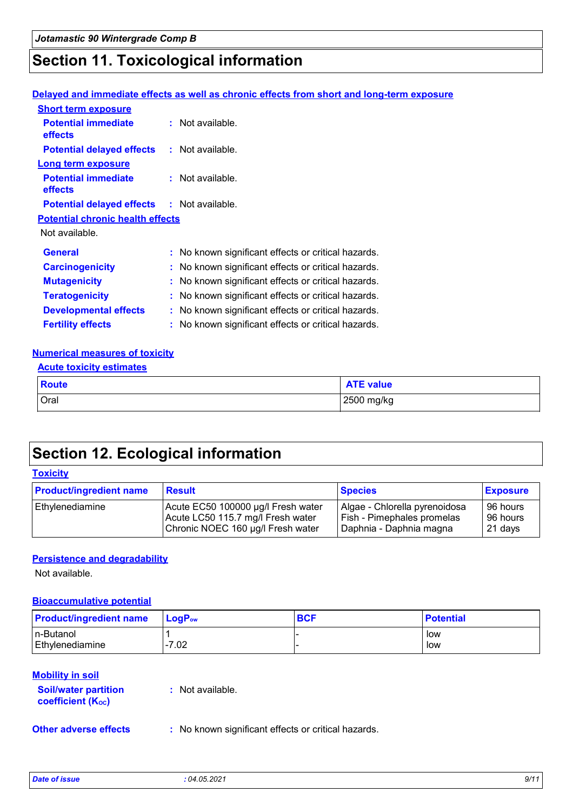### **Section 11. Toxicological information**

#### **Delayed and immediate effects as well as chronic effects from short and long-term exposure**

| <b>Short term exposure</b>                        |                                                     |
|---------------------------------------------------|-----------------------------------------------------|
| <b>Potential immediate</b><br><b>effects</b>      | : Not available.                                    |
| <b>Potential delayed effects</b>                  | : Not available.                                    |
| <b>Long term exposure</b>                         |                                                     |
| <b>Potential immediate</b><br>effects             | : Not available.                                    |
| <b>Potential delayed effects : Not available.</b> |                                                     |
| <b>Potential chronic health effects</b>           |                                                     |
| Not available.                                    |                                                     |
| <b>General</b>                                    | : No known significant effects or critical hazards. |
| <b>Carcinogenicity</b>                            | : No known significant effects or critical hazards. |
| <b>Mutagenicity</b>                               | : No known significant effects or critical hazards. |
| <b>Teratogenicity</b>                             | : No known significant effects or critical hazards. |
| <b>Developmental effects</b>                      | : No known significant effects or critical hazards. |
| <b>Fertility effects</b>                          | : No known significant effects or critical hazards. |

#### **Numerical measures of toxicity**

#### **Acute toxicity estimates**

| <b>Route</b> | <b>NTE value</b> |
|--------------|------------------|
| Oral         | 2500 mg/kg       |

### **Section 12. Ecological information**

#### **Toxicity**

| <b>Product/ingredient name</b> | <b>Result</b>                      | <b>Species</b>                | <b>Exposure</b> |
|--------------------------------|------------------------------------|-------------------------------|-----------------|
| Ethylenediamine                | Acute EC50 100000 µg/l Fresh water | Algae - Chlorella pyrenoidosa | 96 hours        |
|                                | Acute LC50 115.7 mg/l Fresh water  | Fish - Pimephales promelas    | 96 hours        |
|                                | Chronic NOEC 160 µg/l Fresh water  | Daphnia - Daphnia magna       | 21 days         |

#### **Persistence and degradability**

Not available.

#### **Bioaccumulative potential**

| <b>Product/ingredient name</b> | $\mathsf{LoaP}_\mathsf{ow}$ | <b>BCF</b> | <b>Potential</b> |
|--------------------------------|-----------------------------|------------|------------------|
| In-Butanol                     |                             |            | low              |
| Ethylenediamine                | 1-7.02                      |            | low              |

#### **Mobility in soil**

| <b>Soil/water partition</b><br><b>coefficient (Koc)</b> | : Not available. |
|---------------------------------------------------------|------------------|
|                                                         |                  |

**Other adverse effects** : No known significant effects or critical hazards.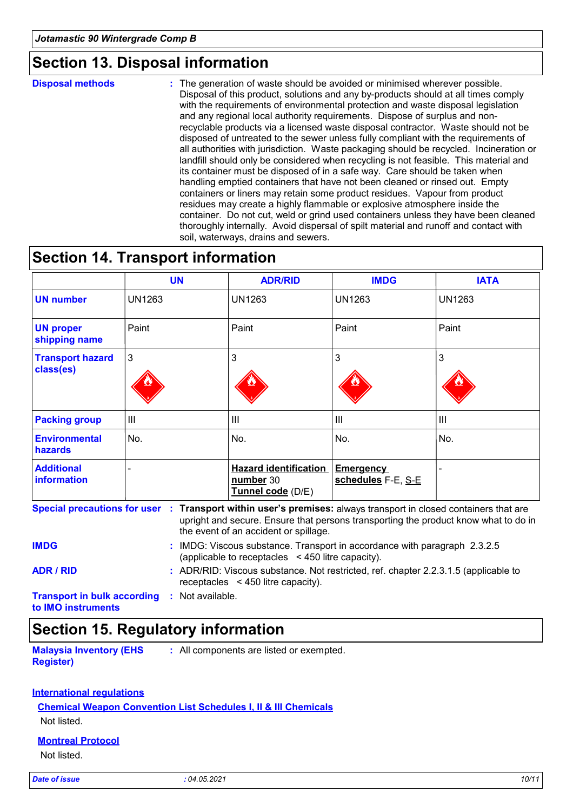### **Section 13. Disposal information**

**Disposal methods :**

The generation of waste should be avoided or minimised wherever possible. Disposal of this product, solutions and any by-products should at all times comply with the requirements of environmental protection and waste disposal legislation and any regional local authority requirements. Dispose of surplus and nonrecyclable products via a licensed waste disposal contractor. Waste should not be disposed of untreated to the sewer unless fully compliant with the requirements of all authorities with jurisdiction. Waste packaging should be recycled. Incineration or landfill should only be considered when recycling is not feasible. This material and its container must be disposed of in a safe way. Care should be taken when handling emptied containers that have not been cleaned or rinsed out. Empty containers or liners may retain some product residues. Vapour from product residues may create a highly flammable or explosive atmosphere inside the container. Do not cut, weld or grind used containers unless they have been cleaned thoroughly internally. Avoid dispersal of spilt material and runoff and contact with soil, waterways, drains and sewers.

### **Section 14. Transport information**

|                                         | <b>UN</b>                                                                                                                      | <b>ADR/RID</b>                                                                                                               | <b>IMDG</b>                     | <b>IATA</b>    |
|-----------------------------------------|--------------------------------------------------------------------------------------------------------------------------------|------------------------------------------------------------------------------------------------------------------------------|---------------------------------|----------------|
| <b>UN number</b>                        | <b>UN1263</b>                                                                                                                  | UN1263                                                                                                                       | UN1263                          | <b>UN1263</b>  |
| <b>UN proper</b><br>shipping name       | Paint                                                                                                                          | Paint                                                                                                                        | Paint                           | Paint          |
| <b>Transport hazard</b><br>class(es)    | 3                                                                                                                              | 3                                                                                                                            | 3                               | 3              |
| <b>Packing group</b>                    | $\mathbf{III}$                                                                                                                 | $\mathbf{III}$                                                                                                               | $\mathbf{III}$                  | $\mathbf{III}$ |
| <b>Environmental</b><br>hazards         | No.                                                                                                                            | No.                                                                                                                          | No.                             | No.            |
| <b>Additional</b><br><b>information</b> |                                                                                                                                | <b>Hazard identification</b><br>number 30<br>Tunnel code (D/E)                                                               | Emergency<br>schedules F-E, S-E |                |
|                                         | Special precautions for user : Transport within user's premises: always transport in closed containers that are                | upright and secure. Ensure that persons transporting the product know what to do in<br>the event of an accident or spillage. |                                 |                |
| <b>IMDG</b>                             | : IMDG: Viscous substance. Transport in accordance with paragraph 2.3.2.5<br>(applicable to receptacles < 450 litre capacity). |                                                                                                                              |                                 |                |

**ADR / RID :** ADR/RID: Viscous substance. Not restricted, ref. chapter 2.2.3.1.5 (applicable to receptacles < 450 litre capacity).

**Transport in bulk according :** Not available.

**to IMO instruments**

### **Section 15. Regulatory information**

**Malaysia Inventory (EHS Register) :** All components are listed or exempted.

### **International regulations**

**Chemical Weapon Convention List Schedules I, II & III Chemicals**

Not listed.

#### **Montreal Protocol**

Not listed.

*Date of issue : 04.05.2021 10/11*